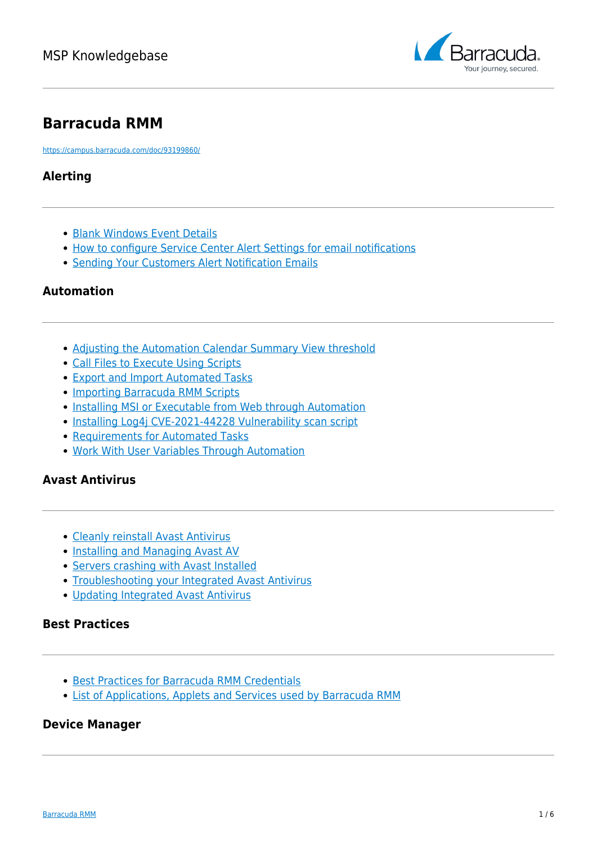

# **Barracuda RMM**

<https://campus.barracuda.com/doc/93199860/>

## **Alerting**

- [Blank Windows Event Details](http://campus.barracuda.com/doc/93199684/)
- [How to configure Service Center Alert Settings for email notifications](http://campus.barracuda.com/doc/93199686/)
- [Sending Your Customers Alert Notification Emails](http://campus.barracuda.com/doc/93199688/)

### **Automation**

- [Adjusting the Automation Calendar Summary View threshold](http://campus.barracuda.com/product/ISBKB/doc/93199895/adjusting-the-automation-calendar-summary-view-threshold/)
- [Call Files to Execute Using Scripts](http://campus.barracuda.com/doc/93199690/)
- [Export and Import Automated Tasks](http://campus.barracuda.com/doc/93199692/)
- [Importing Barracuda RMM Scripts](http://campus.barracuda.com/doc/93199694/)
- [Installing MSI or Executable from Web through Automation](http://campus.barracuda.com/doc/94535822/)
- [Installing Log4j CVE-2021-44228 Vulnerability scan script](http://campus.barracuda.com/product/ISBKB/doc/96024631/installing-the-log4j-vulnerability-script-in-barracudarmm)
- [Requirements for Automated Tasks](http://campus.barracuda.com/doc/93199696/)
- [Work With User Variables Through Automation](http://campus.barracuda.com/doc/93199698/)

### **Avast Antivirus**

- [Cleanly reinstall Avast Antivirus](http://campus.barracuda.com/doc/93199700/)
- [Installing and Managing Avast AV](http://campus.barracuda.com/doc/93199706/)
- [Servers crashing with Avast Installed](http://campus.barracuda.com/doc/93199702/)
- [Troubleshooting your Integrated Avast Antivirus](http://campus.barracuda.com/doc/93199708/)
- [Updating Integrated Avast Antivirus](http://campus.barracuda.com/doc/93880549/)

#### **Best Practices**

- [Best Practices for Barracuda RMM Credentials](http://campus.barracuda.com/doc/93199762/)
- [List of Applications, Applets and Services used by Barracuda RMM](http://campus.barracuda.com/doc/97517578/)

#### **Device Manager**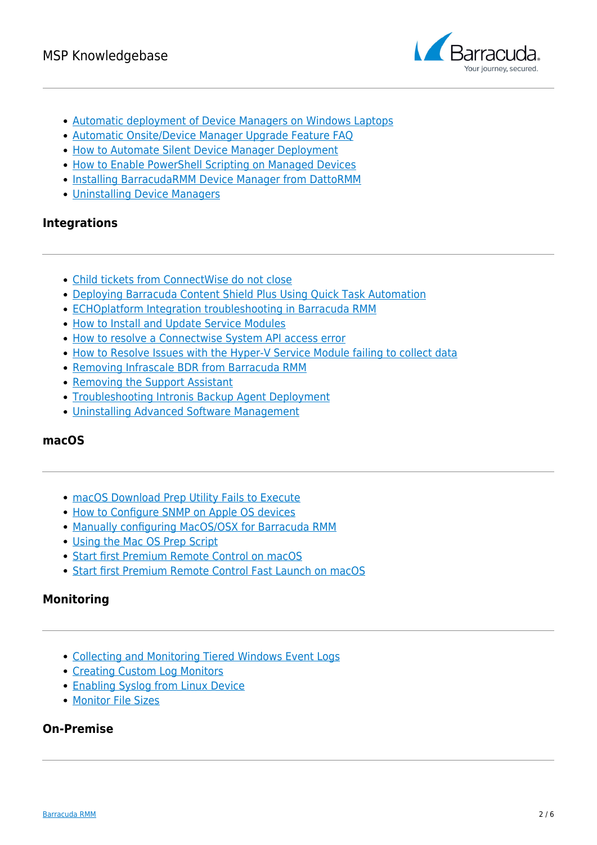

- [Automatic deployment of Device Managers on Windows Laptops](http://campus.barracuda.com/doc/93199790/)
- [Automatic Onsite/Device Manager Upgrade Feature FAQ](http://campus.barracuda.com/doc/93199795/)
- [How to Automate Silent Device Manager Deployment](http://campus.barracuda.com/doc/93199816/)
- [How to Enable PowerShell Scripting on Managed Devices](http://campus.barracuda.com/doc/93199864/)
- [Installing BarracudaRMM Device Manager from DattoRMM](http://campus.barracuda.com/doc/96771065/)
- [Uninstalling Device Managers](http://campus.barracuda.com/doc/93199682/)

### **Integrations**

- [Child tickets from ConnectWise do not close](http://campus.barracuda.com/doc/93199783/)
- [Deploying Barracuda Content Shield Plus Using Quick Task Automation](http://campus.barracuda.com/doc/93199876/)
- [ECHOplatform Integration troubleshooting in Barracuda RMM](http://campus.barracuda.com/doc/96771980/)
- [How to Install and Update Service Modules](http://campus.barracuda.com/doc/93200784/)
- [How to resolve a Connectwise System API access error](http://campus.barracuda.com/doc/93199788/)
- [How to Resolve Issues with the Hyper-V Service Module failing to collect data](http://campus.barracuda.com/doc/93200787/)
- [Removing Infrascale BDR from Barracuda RMM](http://campus.barracuda.com/doc/93199878/)
- [Removing the Support Assistant](http://campus.barracuda.com/doc/93199880/)
- [Troubleshooting Intronis Backup Agent Deployment](http://campus.barracuda.com/doc/93199755/)
- [Uninstalling Advanced Software Management](http://campus.barracuda.com/doc/93199882/)

#### **macOS**

- [macOS Download Prep Utility Fails to Execute](http://campus.barracuda.com/doc/93200978/)
- [How to Configure SNMP on Apple OS devices](http://campus.barracuda.com/doc/93199908/)
- [Manually configuring MacOS/OSX for Barracuda RMM](http://campus.barracuda.com/doc/93200980/)
- [Using the Mac OS Prep Script](http://campus.barracuda.com/doc/93199913/)
- [Start first Premium Remote Control on macOS](http://campus.barracuda.com/doc/96771850/)
- [Start first Premium Remote Control Fast Launch on macOS](http://campus.barracuda.com/doc/96771860/)

#### **Monitoring**

- [Collecting and Monitoring Tiered Windows Event Logs](http://campus.barracuda.com/doc/93199915/)
- [Creating Custom Log Monitors](http://campus.barracuda.com/doc/93199917/)
- [Enabling Syslog from Linux Device](http://campus.barracuda.com/doc/93199921/)
- [Monitor File Sizes](http://campus.barracuda.com/doc/93199925/)

#### **On-Premise**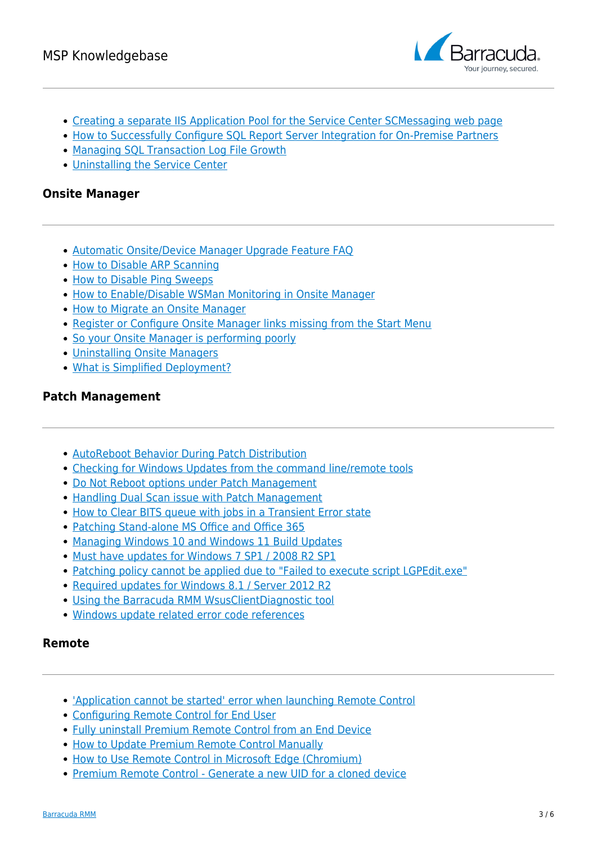

- [Creating a separate IIS Application Pool for the Service Center SCMessaging web page](http://campus.barracuda.com/doc/93200037/)
- [How to Successfully Configure SQL Report Server Integration for On-Premise Partners](http://campus.barracuda.com/doc/93200047/)
- [Managing SQL Transaction Log File Growth](http://campus.barracuda.com/doc/93200071/)
- [Uninstalling the Service Center](http://campus.barracuda.com/doc/93200077/)

### **Onsite Manager**

- [Automatic Onsite/Device Manager Upgrade Feature FAQ](http://campus.barracuda.com/doc/93199795/)
- [How to Disable ARP Scanning](http://campus.barracuda.com/doc/93200211/)
- [How to Disable Ping Sweeps](http://campus.barracuda.com/doc/93200229/)
- [How to Enable/Disable WSMan Monitoring in Onsite Manager](http://campus.barracuda.com/doc/93200231/)
- [How to Migrate an Onsite Manager](http://campus.barracuda.com/doc/93200251/)
- [Register or Configure Onsite Manager links missing from the Start Menu](http://campus.barracuda.com/doc/93200259/)
- [So your Onsite Manager is performing poorly](http://campus.barracuda.com/doc/93200263/)
- [Uninstalling Onsite Managers](http://campus.barracuda.com/doc/93200265/)
- [What is Simplified Deployment?](http://campus.barracuda.com/doc/93200513/)

### **Patch Management**

- [AutoReboot Behavior During Patch Distribution](http://campus.barracuda.com/doc/93200527/)
- [Checking for Windows Updates from the command line/remote tools](http://campus.barracuda.com/doc/93200530/)
- [Do Not Reboot options under Patch Management](http://campus.barracuda.com/doc/93200532/)
- [Handling Dual Scan issue with Patch Management](http://campus.barracuda.com/doc/93200536/)
- [How to Clear BITS queue with jobs in a Transient Error state](http://campus.barracuda.com/doc/93200618/)
- [Patching Stand-alone MS Office and Office 365](http://campus.barracuda.com/product/ISBKB/doc/96767129/patching-stand-alone-ms-office-and-office-365/)
- [Managing Windows 10 and Windows 11 Build Updates](http://campus.barracuda.com/doc/93200620/)
- [Must have updates for Windows 7 SP1 / 2008 R2 SP1](http://campus.barracuda.com/doc/93200622/)
- [Patching policy cannot be applied due to "Failed to execute script LGPEdit.exe"](http://campus.barracuda.com/doc/93200624/)
- [Required updates for Windows 8.1 / Server 2012 R2](http://campus.barracuda.com/doc/93200661/)
- [Using the Barracuda RMM WsusClientDiagnostic tool](http://campus.barracuda.com/doc/93200626/)
- [Windows update related error code references](http://campus.barracuda.com/doc/93200648/)

### **Remote**

- ['Application cannot be started' error when launching Remote Control](http://campus.barracuda.com/doc/93200666/)
- [Configuring Remote Control for End User](http://campus.barracuda.com/doc/93201016/)
- [Fully uninstall Premium Remote Control from an End Device](http://campus.barracuda.com/doc/93200668/)
- [How to Update Premium Remote Control Manually](http://campus.barracuda.com/doc/93200672/)
- [How to Use Remote Control in Microsoft Edge \(Chromium\)](http://campus.barracuda.com/doc/93200674/)
- [Premium Remote Control Generate a new UID for a cloned device](http://campus.barracuda.com/doc/93200684/)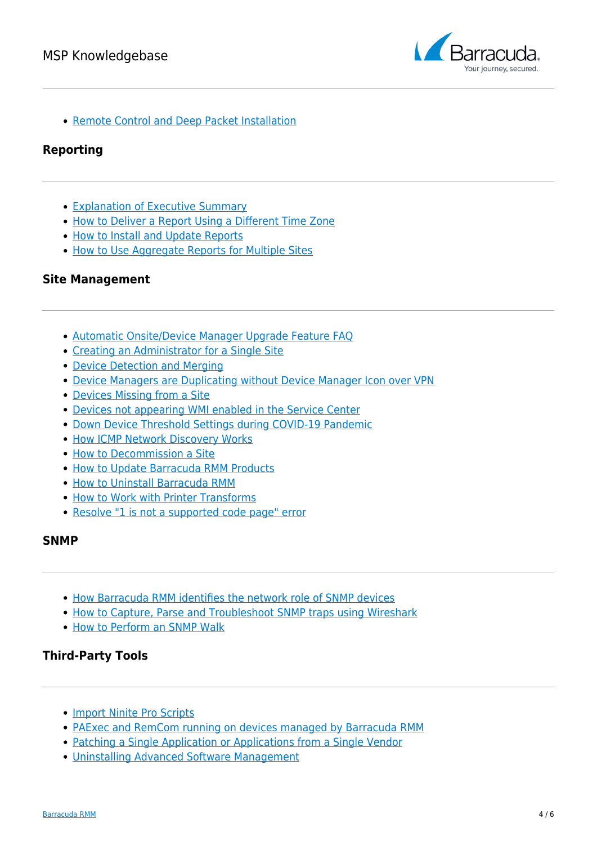

• [Remote Control and Deep Packet Installation](http://campus.barracuda.com/doc/93200685/)

#### **Reporting**

- [Explanation of Executive Summary](http://campus.barracuda.com/doc/93200755/)
- [How to Deliver a Report Using a Different Time Zone](http://campus.barracuda.com/doc/93200763/)
- [How to Install and Update Reports](http://campus.barracuda.com/doc/93200759/)
- [How to Use Aggregate Reports for Multiple Sites](http://campus.barracuda.com/doc/93200766/)

#### **Site Management**

- [Automatic Onsite/Device Manager Upgrade Feature FAQ](http://campus.barracuda.com/doc/93199795/)
- [Creating an Administrator for a Single Site](http://campus.barracuda.com/doc/93200795/)
- [Device Detection and Merging](http://campus.barracuda.com/doc/93200797/)
- [Device Managers are Duplicating without Device Manager Icon over VPN](http://campus.barracuda.com/doc/93200799/)
- [Devices Missing from a Site](http://campus.barracuda.com/doc/93200801/)
- [Devices not appearing WMI enabled in the Service Center](http://campus.barracuda.com/doc/93200066/)
- [Down Device Threshold Settings during COVID-19 Pandemic](http://campus.barracuda.com/doc/93199812/)
- [How ICMP Network Discovery Works](http://campus.barracuda.com/doc/93200804/)
- [How to Decommission a Site](http://campus.barracuda.com/doc/93200806/)
- [How to Update Barracuda RMM Products](http://campus.barracuda.com/doc/93200808/)
- [How to Uninstall Barracuda RMM](http://campus.barracuda.com/doc/93200906/)
- [How to Work with Printer Transforms](http://campus.barracuda.com/doc/93199867/)
- [Resolve "1 is not a supported code page" error](http://campus.barracuda.com/doc/93200911/)

#### **SNMP**

- [How Barracuda RMM identifies the network role of SNMP devices](http://campus.barracuda.com/doc/93200914/)
- [How to Capture, Parse and Troubleshoot SNMP traps using Wireshark](http://campus.barracuda.com/doc/93200916/)
- [How to Perform an SNMP Walk](http://campus.barracuda.com/doc/93200919/)

### **Third-Party Tools**

- [Import Ninite Pro Scripts](http://campus.barracuda.com/doc/95257332/)
- [PAExec and RemCom running on devices managed by Barracuda RMM](http://campus.barracuda.com/doc/93200924/)
- [Patching a Single Application or Applications from a Single Vendor](http://campus.barracuda.com/doc/93199872/)
- [Uninstalling Advanced Software Management](http://campus.barracuda.com/doc/93199882/)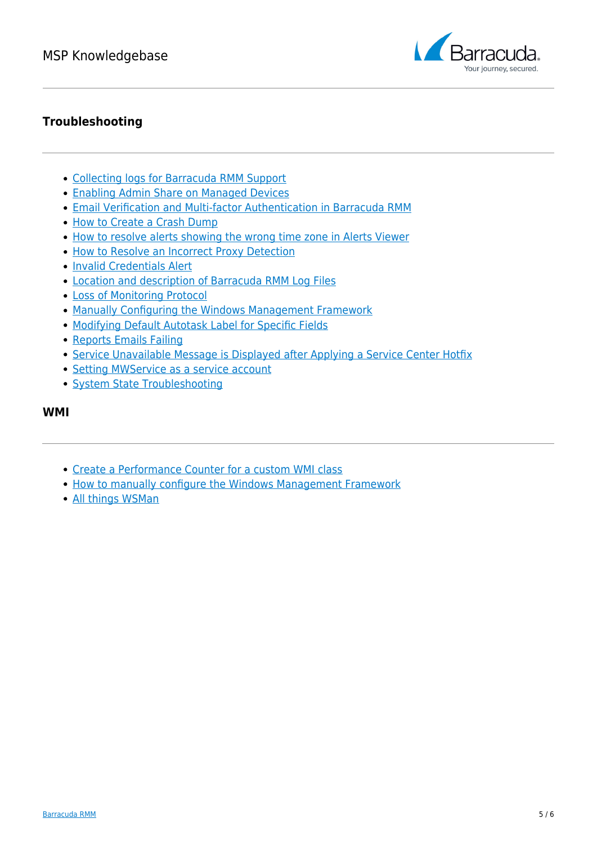

## **Troubleshooting**

- [Collecting logs for Barracuda RMM Support](http://campus.barracuda.com/doc/93199704/)
- [Enabling Admin Share on Managed Devices](http://campus.barracuda.com/doc/93200929/)
- [Email Verification and Multi-factor Authentication in Barracuda RMM](http://campus.barracuda.com/doc/96773170/)
- [How to Create a Crash Dump](http://campus.barracuda.com/doc/93199862/)
- [How to resolve alerts showing the wrong time zone in Alerts Viewer](http://campus.barracuda.com/doc/93200933/)
- [How to Resolve an Incorrect Proxy Detection](http://campus.barracuda.com/doc/93200935/)
- [Invalid Credentials Alert](http://campus.barracuda.com/doc/93200937/)
- [Location and description of Barracuda RMM Log Files](http://campus.barracuda.com/doc/93200972/)
- [Loss of Monitoring Protocol](http://campus.barracuda.com/doc/93200976/)
- [Manually Configuring the Windows Management Framework](http://campus.barracuda.com/doc/93200992/)
- [Modifying Default Autotask Label for Specific Fields](http://campus.barracuda.com/doc/93200994/)
- [Reports Emails Failing](http://campus.barracuda.com/doc/93200998/)
- [Service Unavailable Message is Displayed after Applying a Service Center Hotfix](http://campus.barracuda.com/doc/93201001/)
- [Setting MWService as a service account](http://campus.barracuda.com/doc/93201004/)
- [System State Troubleshooting](http://campus.barracuda.com/doc/93201008/)

#### **WMI**

- [Create a Performance Counter for a custom WMI class](http://campus.barracuda.com/doc/93201019/)
- [How to manually configure the Windows Management Framework](http://campus.barracuda.com/doc/93201038/)
- [All things WSMan](http://campus.barracuda.com/doc/93201046/)